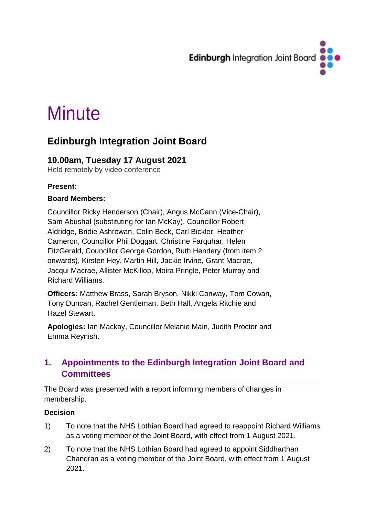

# **Minute**

## **Edinburgh Integration Joint Board**

## **10.00am, Tuesday 17 August 2021**

Held remotely by video conference

#### **Present:**

#### **Board Members:**

Councillor Ricky Henderson (Chair), Angus McCann (Vice-Chair), Sam Abushal (substituting for Ian McKay), Councillor Robert Aldridge, Bridie Ashrowan, Colin Beck, Carl Bickler, Heather Cameron, Councillor Phil Doggart, Christine Farquhar, Helen FitzGerald, Councillor George Gordon, Ruth Hendery (from item 2 onwards), Kirsten Hey, Martin Hill, Jackie Irvine, Grant Macrae, Jacqui Macrae, Allister McKillop, Moira Pringle, Peter Murray and Richard Williams.

**Officers:** Matthew Brass, Sarah Bryson, Nikki Conway, Tom Cowan, Tony Duncan, Rachel Gentleman, Beth Hall, Angela Ritchie and Hazel Stewart.

**Apologies:** Ian Mackay, Councillor Melanie Main, Judith Proctor and Emma Reynish.

## **1. Appointments to the Edinburgh Integration Joint Board and Committees**

The Board was presented with a report informing members of changes in membership.

#### **Decision**

- 1) To note that the NHS Lothian Board had agreed to reappoint Richard Williams as a voting member of the Joint Board, with effect from 1 August 2021.
- 2) To note that the NHS Lothian Board had agreed to appoint Siddharthan Chandran as a voting member of the Joint Board, with effect from 1 August 2021.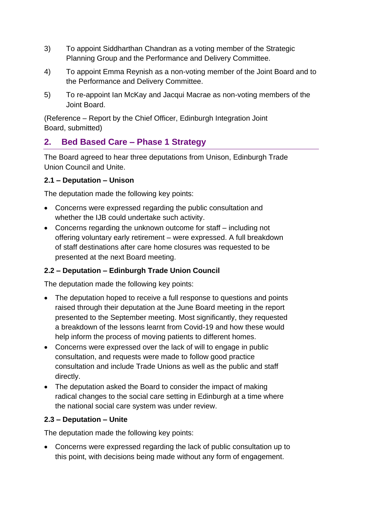- 3) To appoint Siddharthan Chandran as a voting member of the Strategic Planning Group and the Performance and Delivery Committee.
- 4) To appoint Emma Reynish as a non-voting member of the Joint Board and to the Performance and Delivery Committee.
- 5) To re-appoint Ian McKay and Jacqui Macrae as non-voting members of the Joint Board.

(Reference – Report by the Chief Officer, Edinburgh Integration Joint Board, submitted)

## **2. Bed Based Care – Phase 1 Strategy**

The Board agreed to hear three deputations from Unison, Edinburgh Trade Union Council and Unite.

#### **2.1 – Deputation – Unison**

The deputation made the following key points:

- Concerns were expressed regarding the public consultation and whether the IJB could undertake such activity.
- Concerns regarding the unknown outcome for staff including not offering voluntary early retirement – were expressed. A full breakdown of staff destinations after care home closures was requested to be presented at the next Board meeting.

#### **2.2 – Deputation – Edinburgh Trade Union Council**

The deputation made the following key points:

- The deputation hoped to receive a full response to questions and points raised through their deputation at the June Board meeting in the report presented to the September meeting. Most significantly, they requested a breakdown of the lessons learnt from Covid-19 and how these would help inform the process of moving patients to different homes.
- Concerns were expressed over the lack of will to engage in public consultation, and requests were made to follow good practice consultation and include Trade Unions as well as the public and staff directly.
- The deputation asked the Board to consider the impact of making radical changes to the social care setting in Edinburgh at a time where the national social care system was under review.

#### **2.3 – Deputation – Unite**

The deputation made the following key points:

• Concerns were expressed regarding the lack of public consultation up to this point, with decisions being made without any form of engagement.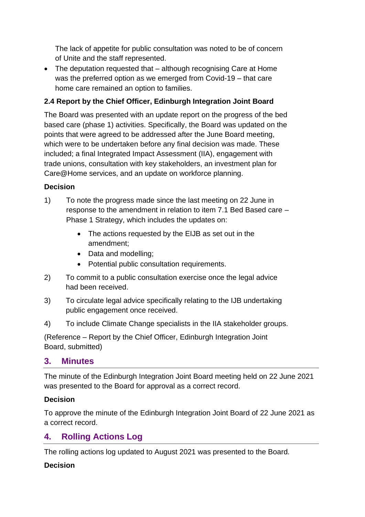The lack of appetite for public consultation was noted to be of concern of Unite and the staff represented.

• The deputation requested that – although recognising Care at Home was the preferred option as we emerged from Covid-19 – that care home care remained an option to families.

#### **2.4 Report by the Chief Officer, Edinburgh Integration Joint Board**

The Board was presented with an update report on the progress of the bed based care (phase 1) activities. Specifically, the Board was updated on the points that were agreed to be addressed after the June Board meeting, which were to be undertaken before any final decision was made. These included; a final Integrated Impact Assessment (IIA), engagement with trade unions, consultation with key stakeholders, an investment plan for Care@Home services, and an update on workforce planning.

#### **Decision**

- 1) To note the progress made since the last meeting on 22 June in response to the amendment in relation to item 7.1 Bed Based care – Phase 1 Strategy, which includes the updates on:
	- The actions requested by the EIJB as set out in the amendment;
	- Data and modelling;
	- Potential public consultation requirements.
- 2) To commit to a public consultation exercise once the legal advice had been received.
- 3) To circulate legal advice specifically relating to the IJB undertaking public engagement once received.
- 4) To include Climate Change specialists in the IIA stakeholder groups.

(Reference – Report by the Chief Officer, Edinburgh Integration Joint Board, submitted)

#### **3. Minutes**

The minute of the Edinburgh Integration Joint Board meeting held on 22 June 2021 was presented to the Board for approval as a correct record.

#### **Decision**

To approve the minute of the Edinburgh Integration Joint Board of 22 June 2021 as a correct record.

## **4. Rolling Actions Log**

The rolling actions log updated to August 2021 was presented to the Board.

#### **Decision**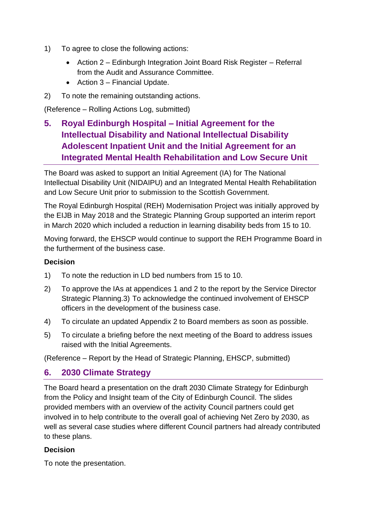- 1) To agree to close the following actions:
	- Action 2 Edinburgh Integration Joint Board Risk Register Referral from the Audit and Assurance Committee.
	- Action 3 Financial Update.
- 2) To note the remaining outstanding actions.

(Reference – Rolling Actions Log, submitted)

**5. Royal Edinburgh Hospital – Initial Agreement for the Intellectual Disability and National Intellectual Disability Adolescent Inpatient Unit and the Initial Agreement for an Integrated Mental Health Rehabilitation and Low Secure Unit**

The Board was asked to support an Initial Agreement (IA) for The National Intellectual Disability Unit (NIDAIPU) and an Integrated Mental Health Rehabilitation and Low Secure Unit prior to submission to the Scottish Government.

The Royal Edinburgh Hospital (REH) Modernisation Project was initially approved by the EIJB in May 2018 and the Strategic Planning Group supported an interim report in March 2020 which included a reduction in learning disability beds from 15 to 10.

Moving forward, the EHSCP would continue to support the REH Programme Board in the furtherment of the business case.

#### **Decision**

- 1) To note the reduction in LD bed numbers from 15 to 10.
- 2) To approve the IAs at appendices 1 and 2 to the report by the Service Director Strategic Planning.3) To acknowledge the continued involvement of EHSCP officers in the development of the business case.
- 4) To circulate an updated Appendix 2 to Board members as soon as possible.
- 5) To circulate a briefing before the next meeting of the Board to address issues raised with the Initial Agreements.

(Reference – Report by the Head of Strategic Planning, EHSCP, submitted)

#### **6. 2030 Climate Strategy**

The Board heard a presentation on the draft 2030 Climate Strategy for Edinburgh from the Policy and Insight team of the City of Edinburgh Council. The slides provided members with an overview of the activity Council partners could get involved in to help contribute to the overall goal of achieving Net Zero by 2030, as well as several case studies where different Council partners had already contributed to these plans.

#### **Decision**

To note the presentation.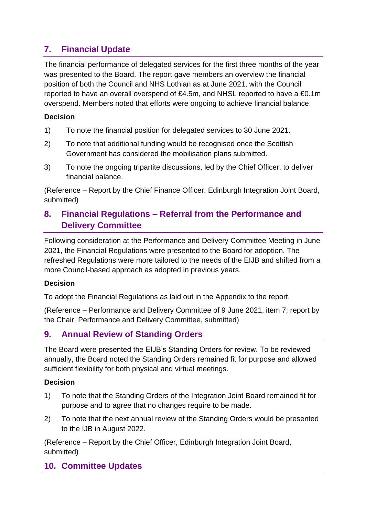## **7. Financial Update**

The financial performance of delegated services for the first three months of the year was presented to the Board. The report gave members an overview the financial position of both the Council and NHS Lothian as at June 2021, with the Council reported to have an overall overspend of £4.5m, and NHSL reported to have a £0.1m overspend. Members noted that efforts were ongoing to achieve financial balance.

#### **Decision**

- 1) To note the financial position for delegated services to 30 June 2021.
- 2) To note that additional funding would be recognised once the Scottish Government has considered the mobilisation plans submitted.
- 3) To note the ongoing tripartite discussions, led by the Chief Officer, to deliver financial balance.

(Reference – Report by the Chief Finance Officer, Edinburgh Integration Joint Board, submitted)

## **8. Financial Regulations – Referral from the Performance and Delivery Committee**

Following consideration at the Performance and Delivery Committee Meeting in June 2021, the Financial Regulations were presented to the Board for adoption. The refreshed Regulations were more tailored to the needs of the EIJB and shifted from a more Council-based approach as adopted in previous years.

#### **Decision**

To adopt the Financial Regulations as laid out in the Appendix to the report.

(Reference – Performance and Delivery Committee of 9 June 2021, item 7; report by the Chair, Performance and Delivery Committee, submitted)

## **9. Annual Review of Standing Orders**

The Board were presented the EIJB's Standing Orders for review. To be reviewed annually, the Board noted the Standing Orders remained fit for purpose and allowed sufficient flexibility for both physical and virtual meetings.

#### **Decision**

- 1) To note that the Standing Orders of the Integration Joint Board remained fit for purpose and to agree that no changes require to be made.
- 2) To note that the next annual review of the Standing Orders would be presented to the IJB in August 2022.

(Reference – Report by the Chief Officer, Edinburgh Integration Joint Board, submitted)

#### **10. Committee Updates**